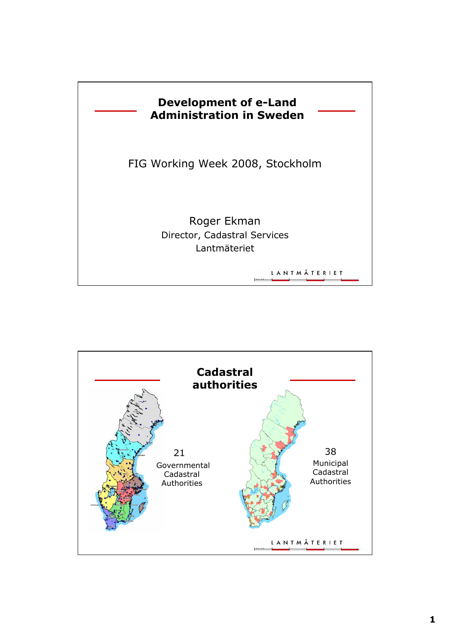

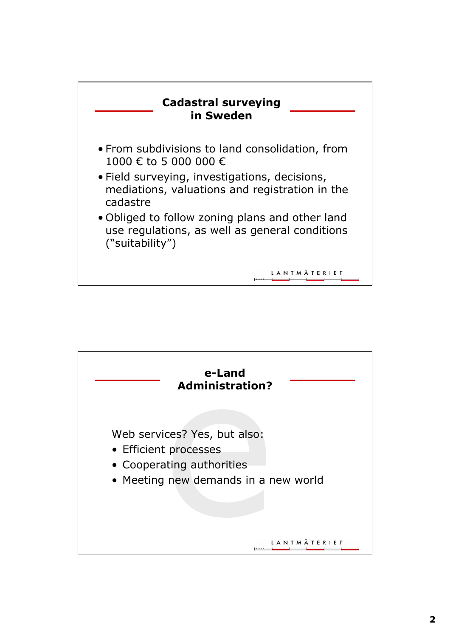

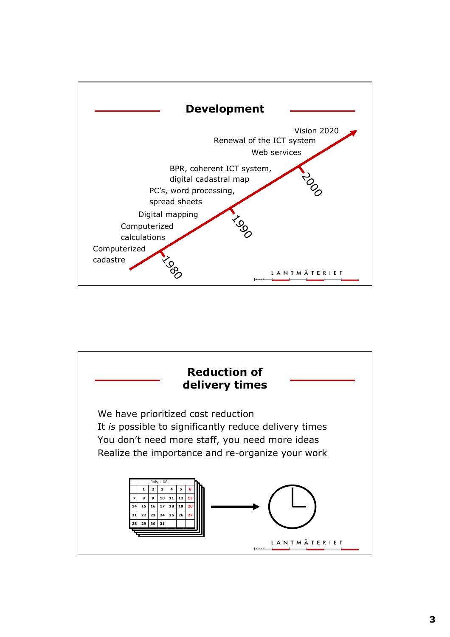